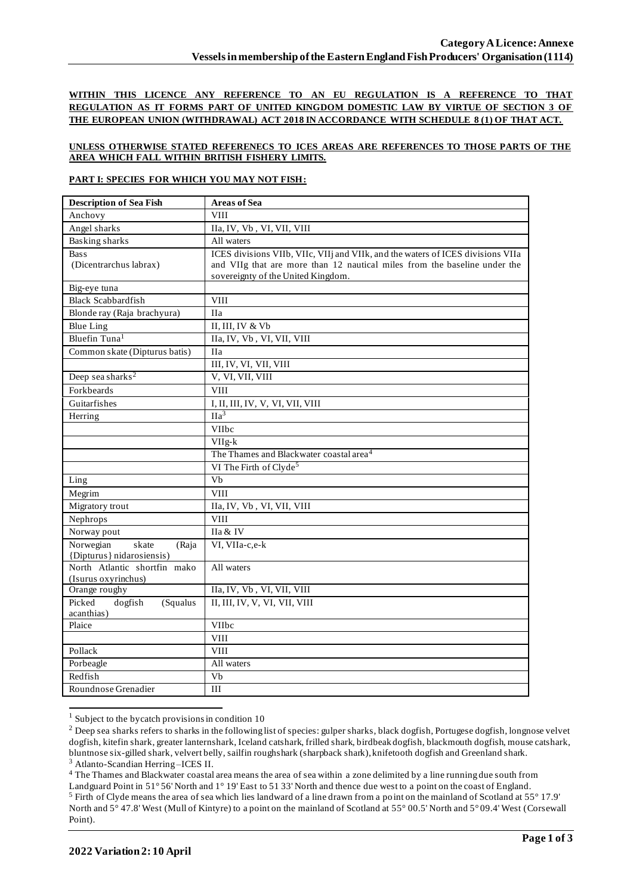**WITHIN THIS LICENCE ANY REFERENCE TO AN EU REGULATION IS A REFERENCE TO THAT REGULATION AS IT FORMS PART OF UNITED KINGDOM DOMESTIC LAW BY VIRTUE OF SECTION 3 OF THE EUROPEAN UNION (WITHDRAWAL) ACT 2018 IN ACCORDANCE WITH SCHEDULE 8 (1) OF THAT ACT.**

### **UNLESS OTHERWISE STATED REFERENECS TO ICES AREAS ARE REFERENCES TO THOSE PARTS OF THE AREA WHICH FALL WITHIN BRITISH FISHERY LIMITS.**

#### **PART I: SPECIES FOR WHICH YOU MAY NOT FISH:**

| Anchovy<br><b>VIII</b><br>Angel sharks<br>IIa, IV, Vb, VI, VII, VIII<br><b>Basking sharks</b><br>All waters<br>ICES divisions VIIb, VIIc, VIIj and VIIk, and the waters of ICES divisions VIIa<br><b>Bass</b><br>(Dicentrarchus labrax)<br>and VIIg that are more than 12 nautical miles from the baseline under the<br>sovereignty of the United Kingdom.<br>Big-eye tuna<br><b>Black Scabbardfish</b><br><b>VIII</b><br>Blonde ray (Raja brachyura)<br><b>IIa</b><br>II, III, IV & Vb<br><b>Blue Ling</b><br>Bluefin Tuna <sup>1</sup><br>IIa, IV, Vb, VI, VII, VIII<br>Common skate (Dipturus batis)<br><b>IIa</b><br>III, IV, VI, VII, VIII<br>Deep sea sharks <sup>2</sup><br>V, VI, VII, VIII<br>Forkbeards<br><b>VIII</b><br>Guitarfishes<br>I, II, III, IV, V, VI, VII, VIII<br>IIa <sup>3</sup><br>Herring<br>VIIbc<br>$VIIg-k$<br>The Thames and Blackwater coastal area <sup>4</sup><br>VI The Firth of Clyde <sup>5</sup><br>$\overline{Vb}$<br>Ling<br>Megrim<br><b>VIII</b><br>Migratory trout<br>IIa, IV, Vb, VI, VII, VIII<br><b>VIII</b><br>Nephrops<br>Norway pout<br>IIa & IV<br>Norwegian<br>skate<br>VI, VIIa-c,e-k<br>(Raja<br>{Dipturus} nidarosiensis)<br>North Atlantic shortfin mako<br>All waters<br>(Isurus oxyrinchus)<br>IIa, IV, Vb, VI, VII, VIII<br>Orange roughy<br>II, III, IV, V, VI, VII, VIII<br>Picked<br>dogfish<br>(Squalus<br>acanthias) | <b>Description of Sea Fish</b> | <b>Areas of Sea</b> |
|------------------------------------------------------------------------------------------------------------------------------------------------------------------------------------------------------------------------------------------------------------------------------------------------------------------------------------------------------------------------------------------------------------------------------------------------------------------------------------------------------------------------------------------------------------------------------------------------------------------------------------------------------------------------------------------------------------------------------------------------------------------------------------------------------------------------------------------------------------------------------------------------------------------------------------------------------------------------------------------------------------------------------------------------------------------------------------------------------------------------------------------------------------------------------------------------------------------------------------------------------------------------------------------------------------------------------------------------------------------------------------|--------------------------------|---------------------|
|                                                                                                                                                                                                                                                                                                                                                                                                                                                                                                                                                                                                                                                                                                                                                                                                                                                                                                                                                                                                                                                                                                                                                                                                                                                                                                                                                                                    |                                |                     |
|                                                                                                                                                                                                                                                                                                                                                                                                                                                                                                                                                                                                                                                                                                                                                                                                                                                                                                                                                                                                                                                                                                                                                                                                                                                                                                                                                                                    |                                |                     |
|                                                                                                                                                                                                                                                                                                                                                                                                                                                                                                                                                                                                                                                                                                                                                                                                                                                                                                                                                                                                                                                                                                                                                                                                                                                                                                                                                                                    |                                |                     |
|                                                                                                                                                                                                                                                                                                                                                                                                                                                                                                                                                                                                                                                                                                                                                                                                                                                                                                                                                                                                                                                                                                                                                                                                                                                                                                                                                                                    |                                |                     |
|                                                                                                                                                                                                                                                                                                                                                                                                                                                                                                                                                                                                                                                                                                                                                                                                                                                                                                                                                                                                                                                                                                                                                                                                                                                                                                                                                                                    |                                |                     |
|                                                                                                                                                                                                                                                                                                                                                                                                                                                                                                                                                                                                                                                                                                                                                                                                                                                                                                                                                                                                                                                                                                                                                                                                                                                                                                                                                                                    |                                |                     |
|                                                                                                                                                                                                                                                                                                                                                                                                                                                                                                                                                                                                                                                                                                                                                                                                                                                                                                                                                                                                                                                                                                                                                                                                                                                                                                                                                                                    |                                |                     |
|                                                                                                                                                                                                                                                                                                                                                                                                                                                                                                                                                                                                                                                                                                                                                                                                                                                                                                                                                                                                                                                                                                                                                                                                                                                                                                                                                                                    |                                |                     |
|                                                                                                                                                                                                                                                                                                                                                                                                                                                                                                                                                                                                                                                                                                                                                                                                                                                                                                                                                                                                                                                                                                                                                                                                                                                                                                                                                                                    |                                |                     |
|                                                                                                                                                                                                                                                                                                                                                                                                                                                                                                                                                                                                                                                                                                                                                                                                                                                                                                                                                                                                                                                                                                                                                                                                                                                                                                                                                                                    |                                |                     |
|                                                                                                                                                                                                                                                                                                                                                                                                                                                                                                                                                                                                                                                                                                                                                                                                                                                                                                                                                                                                                                                                                                                                                                                                                                                                                                                                                                                    |                                |                     |
|                                                                                                                                                                                                                                                                                                                                                                                                                                                                                                                                                                                                                                                                                                                                                                                                                                                                                                                                                                                                                                                                                                                                                                                                                                                                                                                                                                                    |                                |                     |
|                                                                                                                                                                                                                                                                                                                                                                                                                                                                                                                                                                                                                                                                                                                                                                                                                                                                                                                                                                                                                                                                                                                                                                                                                                                                                                                                                                                    |                                |                     |
|                                                                                                                                                                                                                                                                                                                                                                                                                                                                                                                                                                                                                                                                                                                                                                                                                                                                                                                                                                                                                                                                                                                                                                                                                                                                                                                                                                                    |                                |                     |
|                                                                                                                                                                                                                                                                                                                                                                                                                                                                                                                                                                                                                                                                                                                                                                                                                                                                                                                                                                                                                                                                                                                                                                                                                                                                                                                                                                                    |                                |                     |
|                                                                                                                                                                                                                                                                                                                                                                                                                                                                                                                                                                                                                                                                                                                                                                                                                                                                                                                                                                                                                                                                                                                                                                                                                                                                                                                                                                                    |                                |                     |
|                                                                                                                                                                                                                                                                                                                                                                                                                                                                                                                                                                                                                                                                                                                                                                                                                                                                                                                                                                                                                                                                                                                                                                                                                                                                                                                                                                                    |                                |                     |
|                                                                                                                                                                                                                                                                                                                                                                                                                                                                                                                                                                                                                                                                                                                                                                                                                                                                                                                                                                                                                                                                                                                                                                                                                                                                                                                                                                                    |                                |                     |
|                                                                                                                                                                                                                                                                                                                                                                                                                                                                                                                                                                                                                                                                                                                                                                                                                                                                                                                                                                                                                                                                                                                                                                                                                                                                                                                                                                                    |                                |                     |
|                                                                                                                                                                                                                                                                                                                                                                                                                                                                                                                                                                                                                                                                                                                                                                                                                                                                                                                                                                                                                                                                                                                                                                                                                                                                                                                                                                                    |                                |                     |
|                                                                                                                                                                                                                                                                                                                                                                                                                                                                                                                                                                                                                                                                                                                                                                                                                                                                                                                                                                                                                                                                                                                                                                                                                                                                                                                                                                                    |                                |                     |
|                                                                                                                                                                                                                                                                                                                                                                                                                                                                                                                                                                                                                                                                                                                                                                                                                                                                                                                                                                                                                                                                                                                                                                                                                                                                                                                                                                                    |                                |                     |
|                                                                                                                                                                                                                                                                                                                                                                                                                                                                                                                                                                                                                                                                                                                                                                                                                                                                                                                                                                                                                                                                                                                                                                                                                                                                                                                                                                                    |                                |                     |
|                                                                                                                                                                                                                                                                                                                                                                                                                                                                                                                                                                                                                                                                                                                                                                                                                                                                                                                                                                                                                                                                                                                                                                                                                                                                                                                                                                                    |                                |                     |
|                                                                                                                                                                                                                                                                                                                                                                                                                                                                                                                                                                                                                                                                                                                                                                                                                                                                                                                                                                                                                                                                                                                                                                                                                                                                                                                                                                                    |                                |                     |
|                                                                                                                                                                                                                                                                                                                                                                                                                                                                                                                                                                                                                                                                                                                                                                                                                                                                                                                                                                                                                                                                                                                                                                                                                                                                                                                                                                                    |                                |                     |
|                                                                                                                                                                                                                                                                                                                                                                                                                                                                                                                                                                                                                                                                                                                                                                                                                                                                                                                                                                                                                                                                                                                                                                                                                                                                                                                                                                                    |                                |                     |
|                                                                                                                                                                                                                                                                                                                                                                                                                                                                                                                                                                                                                                                                                                                                                                                                                                                                                                                                                                                                                                                                                                                                                                                                                                                                                                                                                                                    |                                |                     |
|                                                                                                                                                                                                                                                                                                                                                                                                                                                                                                                                                                                                                                                                                                                                                                                                                                                                                                                                                                                                                                                                                                                                                                                                                                                                                                                                                                                    |                                |                     |
|                                                                                                                                                                                                                                                                                                                                                                                                                                                                                                                                                                                                                                                                                                                                                                                                                                                                                                                                                                                                                                                                                                                                                                                                                                                                                                                                                                                    |                                |                     |
|                                                                                                                                                                                                                                                                                                                                                                                                                                                                                                                                                                                                                                                                                                                                                                                                                                                                                                                                                                                                                                                                                                                                                                                                                                                                                                                                                                                    |                                |                     |
|                                                                                                                                                                                                                                                                                                                                                                                                                                                                                                                                                                                                                                                                                                                                                                                                                                                                                                                                                                                                                                                                                                                                                                                                                                                                                                                                                                                    |                                |                     |
| Plaice<br>VIIbc                                                                                                                                                                                                                                                                                                                                                                                                                                                                                                                                                                                                                                                                                                                                                                                                                                                                                                                                                                                                                                                                                                                                                                                                                                                                                                                                                                    |                                |                     |
| <b>VIII</b>                                                                                                                                                                                                                                                                                                                                                                                                                                                                                                                                                                                                                                                                                                                                                                                                                                                                                                                                                                                                                                                                                                                                                                                                                                                                                                                                                                        |                                |                     |
| Pollack<br><b>VIII</b>                                                                                                                                                                                                                                                                                                                                                                                                                                                                                                                                                                                                                                                                                                                                                                                                                                                                                                                                                                                                                                                                                                                                                                                                                                                                                                                                                             |                                |                     |
| Porbeagle<br>All waters                                                                                                                                                                                                                                                                                                                                                                                                                                                                                                                                                                                                                                                                                                                                                                                                                                                                                                                                                                                                                                                                                                                                                                                                                                                                                                                                                            |                                |                     |
| Redfish<br>Vb                                                                                                                                                                                                                                                                                                                                                                                                                                                                                                                                                                                                                                                                                                                                                                                                                                                                                                                                                                                                                                                                                                                                                                                                                                                                                                                                                                      |                                |                     |
| Roundnose Grenadier<br>III                                                                                                                                                                                                                                                                                                                                                                                                                                                                                                                                                                                                                                                                                                                                                                                                                                                                                                                                                                                                                                                                                                                                                                                                                                                                                                                                                         |                                |                     |

 $1$  Subject to the bycatch provisions in condition 10

<sup>4</sup> The Thames and Blackwater coastal area means the area of sea within a zone delimited by a line running due south from

<sup>&</sup>lt;sup>2</sup> Deep sea sharks refers to sharks in the following list of species: gulper sharks, black dogfish, Portugese dogfish, longnose velvet dogfish, kitefin shark, greater lanternshark, Iceland catshark, frilled shark, birdbeak dogfish, blackmouth dogfish, mouse catshark, bluntnose six-gilled shark, velvert belly, sailfin roughshark (sharpback shark), knifetooth dogfish and Greenland shark. <sup>3</sup> Atlanto-Scandian Herring –ICES II.

Landguard Point in 51° 56' North and 1° 19' East to 51 33' North and thence due west to a point on the coast of England. <sup>5</sup> Firth of Clyde means the area of sea which lies landward of a line drawn from a point on the mainland of Scotland at 55° 17.9' North and 5° 47.8' West (Mull of Kintyre) to a point on the mainland of Scotland at 55° 00.5' North and 5° 09.4' West (Corsewall Point).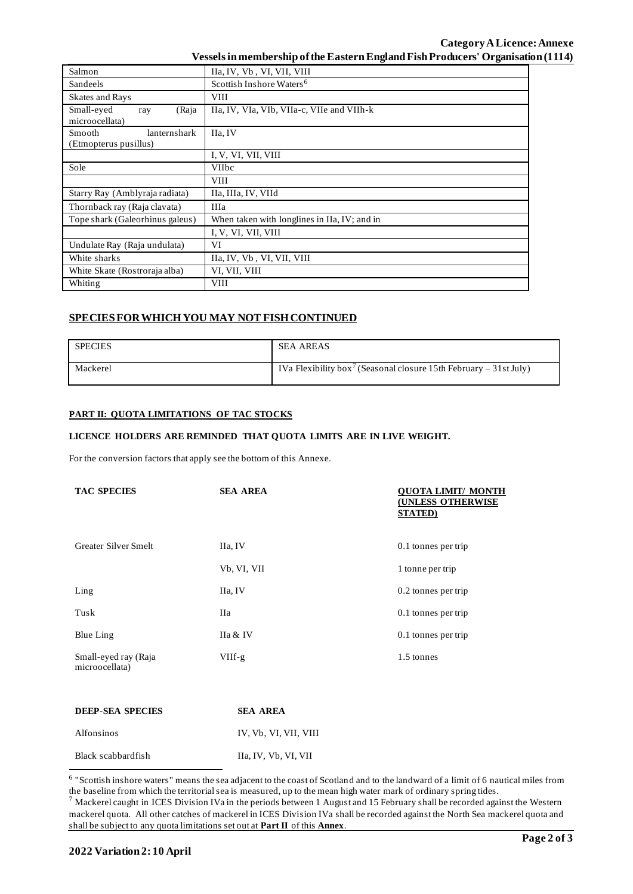| Salmon                                                 | IIa, IV, Vb, VI, VII, VIII                   |  |
|--------------------------------------------------------|----------------------------------------------|--|
| Sandeels                                               | Scottish Inshore Waters <sup>6</sup>         |  |
| Skates and Rays                                        | <b>VIII</b>                                  |  |
| Small-eyed<br>(Raja<br>ray<br>microocellata)           | IIa, IV, VIa, VIb, VIIa-c, VIIe and VIIh-k   |  |
| <b>Smooth</b><br>lanternshark<br>(Etmopterus pusillus) | IIa, IV                                      |  |
|                                                        | I, V, VI, VII, VIII                          |  |
| Sole                                                   | <b>VIIbc</b>                                 |  |
|                                                        | <b>VIII</b>                                  |  |
| Starry Ray (Amblyraja radiata)                         | IIa, IIIa, IV, VIId                          |  |
| Thornback ray (Raja clavata)                           | <b>IIIa</b>                                  |  |
| Tope shark (Galeorhinus galeus)                        | When taken with longlines in IIa, IV; and in |  |
|                                                        | I, V, VI, VII, VIII                          |  |
| Undulate Ray (Raja undulata)                           | VI                                           |  |
| White sharks                                           | IIa, IV, Vb, VI, VII, VIII                   |  |
| White Skate (Rostroraja alba)                          | VI, VII, VIII                                |  |
| Whiting                                                | <b>VIII</b>                                  |  |

# **SPECIES FOR WHICH YOU MAY NOT FISH CONTINUED**

| <b>SPECIES</b> | <b>SEA AREAS</b>                                                              |
|----------------|-------------------------------------------------------------------------------|
| Mackerel       | IVa Flexibility box <sup>7</sup> (Seasonal closure 15th February – 31st July) |

# **PART II: QUOTA LIMITATIONS OF TAC STOCKS**

## **LICENCE HOLDERS ARE REMINDED THAT QUOTA LIMITS ARE IN LIVE WEIGHT.**

For the conversion factors that apply see the bottom of this Annexe.

| <b>TAC SPECIES</b>                     | <b>SEA AREA</b> | OUOTA LIMIT/ MONTH<br><b>(UNLESS OTHERWISE</b><br><b>STATED</b> ) |
|----------------------------------------|-----------------|-------------------------------------------------------------------|
| Greater Silver Smelt                   | IIa, IV         | 0.1 tonnes per trip                                               |
|                                        | Vb, VI, VII     | 1 tonne per trip                                                  |
| $L$ ing                                | IIa, IV         | 0.2 tonnes per trip                                               |
| Tusk                                   | Ha              | 0.1 tonnes per trip                                               |
| Blue Ling                              | IIa & IV        | 0.1 tonnes per trip                                               |
| Small-eyed ray (Raja<br>microocellata) | $VIIf-g$        | 1.5 tonnes                                                        |

| DEEP-SEA SPECIES   | <b>SEA AREA</b>       |
|--------------------|-----------------------|
| Alfonsinos         | IV. Vb. VI. VII. VIII |
| Black scabbardfish | IIa, IV, Vb, VI, VII  |

<sup>&</sup>lt;sup>6</sup> "Scottish inshore waters" means the sea adjacent to the coast of Scotland and to the landward of a limit of 6 nautical miles from the baseline from which the territorial sea is measured, up to the mean high water mark of ordinary spring tides.

 $^7$  Mackerel caught in ICES Division IVa in the periods between 1 August and 15 February shall be recorded against the Western mackerel quota. All other catches of mackerel in ICES Division IVa shall be recorded against the North Sea mackerel quota and shall be subject to any quota limitations set out at **Part II** of this **Annex**.